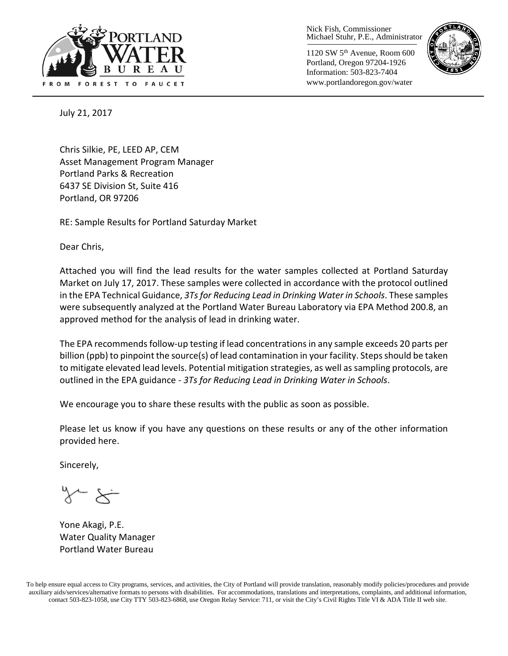

Nick Fish, Commissioner Michael Stuhr, P.E., Administrator

1120 SW 5th Avenue, Room 600 Portland, Oregon 97204-1926 Information: 503-823-7404 www.portlandoregon.gov/water



July 21, 2017

Chris Silkie, PE, LEED AP, CEM Asset Management Program Manager Portland Parks & Recreation 6437 SE Division St, Suite 416 Portland, OR 97206

RE: Sample Results for Portland Saturday Market

Dear Chris,

Attached you will find the lead results for the water samples collected at Portland Saturday Market on July 17, 2017. These samples were collected in accordance with the protocol outlined in the EPA Technical Guidance, *3Ts for Reducing Lead in Drinking Water in Schools*. These samples were subsequently analyzed at the Portland Water Bureau Laboratory via EPA Method 200.8, an approved method for the analysis of lead in drinking water.

The EPA recommends follow-up testing if lead concentrations in any sample exceeds 20 parts per billion (ppb) to pinpoint the source(s) of lead contamination in your facility. Steps should be taken to mitigate elevated lead levels. Potential mitigation strategies, as well as sampling protocols, are outlined in the EPA guidance - *3Ts for Reducing Lead in Drinking Water in Schools*.

We encourage you to share these results with the public as soon as possible.

Please let us know if you have any questions on these results or any of the other information provided here.

Sincerely,

Yone Akagi, P.E. Water Quality Manager Portland Water Bureau

To help ensure equal access to City programs, services, and activities, the City of Portland will provide translation, reasonably modify policies/procedures and provide auxiliary aids/services/alternative formats to persons with disabilities. For accommodations, translations and interpretations, complaints, and additional information, contact 503-823-1058, use City TTY 503-823-6868, use Oregon Relay Service: 711, or visi[t the City's Civil Rights Title VI & ADA Title II web site.](http://www.portlandoregon.gov/oehr/66458)